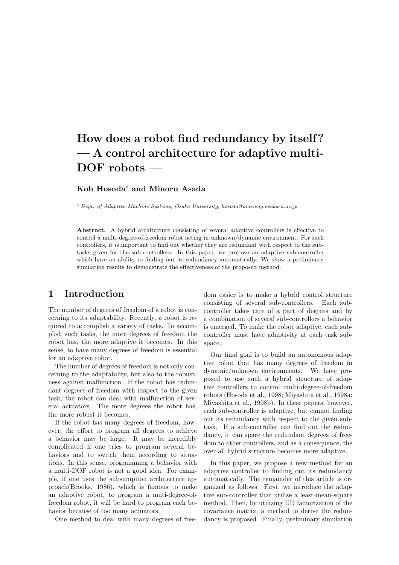# How does a robot find redundancy by itself? — A control architecture for adaptive multi-DOF robots —

### Koh Hosoda<sup>∗</sup> and Minoru Asada

<sup>∗</sup> Dept. of Adaptive Machine Systems, Osaka University, hosoda@ams.eng.osaka-u.ac.jp

Abstract. A hybrid architecture consisting of several adaptive controllers is effective to control a multi-degree-of-freedom robot acting in unknown/dynamic environment. For such controllers, it is important to find out whether they are redundant with respect to the subtasks given for the sub-controllers. In this paper, we propose an adaptive sub-controller which have an ability to finding out its redundancy automatically. We show a preliminary simulation results to demonstrate the effectiveness of the proposed method.

### 1 Introduction

The number of degrees of freedom of a robot is concerning to its adaptability. Recently, a robot is required to accomplish a variety of tasks. To accomplish such tasks, the more degrees of freedom the robot has, the more adaptive it becomes. In this sense, to have many degrees of freedom is essential for an adaptive robot.

The number of degrees of freedom is not only concerning to the adaptability, but also to the robustness against malfunction. If the robot has redundant degrees of freedom with respect to the given task, the robot can deal with malfunction of several actuators. The more degrees the robot has, the more robust it becomes.

If the robot has many degrees of freedom, however, the effort to program all degrees to achieve a behavior may be large. It may be incredibly complicated if one tries to program several behaviors and to switch them according to situations. In this sense, programming a behavior with a multi-DOF robot is not a good idea. For example, if one uses the subsumption architecture approach(Brooks, 1986), which is famous to make an adaptive robot, to program a muti-degree-offreedom robot, it will be hard to program each behavior because of too many actuators.

One method to deal with many degrees of free-

dom easier is to make a hybrid control structure consisting of several sub-controllers. Each subcontroller takes care of a part of degrees and by a combination of several sub-controllers a behavior is emerged. To make the robot adaptive, each subcontroller must have adaptivity at each task subspace.

Our final goal is to build an autonomous adaptive robot that has many degrees of freedom in dynamic/unknown environments. We have proposed to use such a hybrid structure of adaptive controllers to control multi-degree-of-freedom robots (Hosoda et al., 1998; Miyashita et al., 1998a; Miyashita et al., 1998b). In these papers, however, each sub-controller is adaptive, but cannot finding out its redundancy with respect to the given subtask. If a sub-controller can find out the redundancy, it can spare the redundant degrees of freedom to other controllers, and as a consequence, the over all hybrid structure becomes more adaptive.

In this paper, we propose a new method for an adaptive controller to finding out its redundancy automatically. The remainder of this article is organized as follows. First, we introduce the adaptive sub-controller that utilize a least-mean-square method. Then, by utilizing UD factorization of the covariance matrix, a method to derive the redundancy is proposed. Finally, preliminary simulation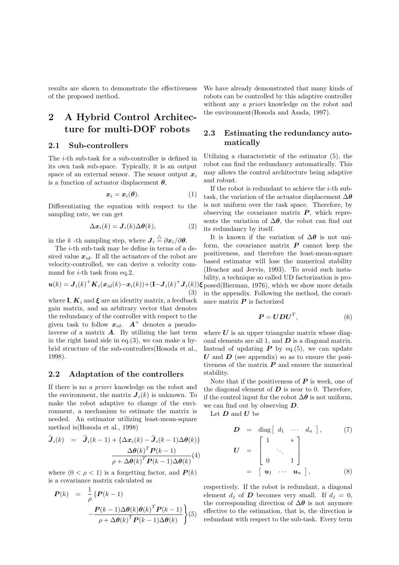results are shown to demonstrate the effectiveness of the proposed method.

## 2 A Hybrid Control Architecture for multi-DOF robots

### 2.1 Sub-controllers

The i-th sub-task for a sub-controller is defined in its own task sub-space. Typically, it is an output space of an external sensor. The sensor output  $x_i$ is a function of actuator displacement  $\theta$ ,

$$
x_i = x_i(\theta). \tag{1}
$$

Differentiating the equation with respect to the sampling rate, we can get

$$
\Delta x_i(k) = \mathbf{J}_i(k)\Delta\theta(k),\tag{2}
$$

in the k -th sampling step, where  $\boldsymbol{J}_i \stackrel{\triangle}{=} \partial \boldsymbol{x}_i / \partial \boldsymbol{\theta}$ .

The *i*-th sub-task may be define in terms of a desired value  $x_{id}$ . If all the actuators of the robot are velocity-controlled, we can derive a velocity command for  $i$ -th task from eq.2,

$$
\boldsymbol{u}(k) = \boldsymbol{J}_i(k)^+ \boldsymbol{K}_i(\boldsymbol{x}_{id}(k) - \boldsymbol{x}_i(k)) + (\mathbf{I} - \boldsymbol{J}_i(k)^+ \boldsymbol{J}_i(k))
$$
\n(3)

where I,  $K_i$  and  $\xi$  are an identity matrix, a feedback gain matrix, and an arbitrary vector that denotes the redundancy of the controller with respect to the given task to follow  $x_{id}$ .  $A^+$  denotes a pseudoinverse of a matrix  $\boldsymbol{A}$ . By utilizing the last term in the right hand side in eq. $(3)$ , we can make a hybrid structure of the sub-controllers(Hosoda et al., 1998).

#### 2.2 Adaptation of the controllers

If there is no a priori knowledge on the robot and the environment, the matrix  $J_i(k)$  is unknown. To make the robot adaptive to change of the environment, a mechanism to estimate the matrix is needed. An estimator utilizing least-mean-square method is(Hosoda et al., 1998)

$$
\widehat{\boldsymbol{J}}_i(k) = \widehat{\boldsymbol{J}}_i(k-1) + \{ \Delta \boldsymbol{x}_i(k) - \widehat{\boldsymbol{J}}_i(k-1) \Delta \boldsymbol{\theta}(k) \}
$$

$$
\frac{\Delta \boldsymbol{\theta}(k)^T \boldsymbol{P}(k-1)}{\rho + \Delta \boldsymbol{\theta}(k)^T \boldsymbol{P}(k-1) \Delta \boldsymbol{\theta}(k)}(4)
$$

where  $(0 < \rho < 1)$  is a forgetting factor, and  $P(k)$ is a covariance matrix calculated as

$$
\mathbf{P}(k) = \frac{1}{\rho} \left\{ \mathbf{P}(k-1) - \frac{\mathbf{P}(k-1)\Delta\boldsymbol{\theta}(k)\boldsymbol{\theta}(k)^{T}\mathbf{P}(k-1)}{\rho + \Delta\boldsymbol{\theta}(k)^{T}\mathbf{P}(k-1)\Delta\boldsymbol{\theta}(k)} \right\} (5)
$$

We have already demonstrated that many kinds of robots can be controlled by this adaptive controller without any *a priori* knowledge on the robot and the environment(Hosoda and Asada, 1997).

### 2.3 Estimating the redundancy automatically

Utilizing a characteristic of the estimator (5), the robot can find the redundancy automatically. This may allows the control architecture being adaptive and robust.

If the robot is redundant to achieve the  $i$ -th subtask, the variation of the actuator displacement  $\Delta\theta$ is not uniform over the task space. Therefore, by observing the covariance matrix  $P$ , which represents the variation of  $\Delta\theta$ , the robot can find out its redundancy by itself.

 $J_i(k)$ ) $\xi$  posed(Bierman, 1976), which we show more details It is known if the variation of  $\Delta\theta$  is not uniform, the covariance matrix  $P$  cannot keep the positiveness, and therefore the least-mean-square based estimator will lose the numerical stability (Ifeachor and Jervis, 1993). To avoid such instability, a technique so called UD factorization is proin the appendix. Following the method, the covariance matrix  $P$  is factorized

$$
P = UDU^T, \tag{6}
$$

where  $U$  is an upper triangular matrix whose diagonal elements are all 1, and  $\boldsymbol{D}$  is a diagonal matrix. Instead of updating  $P$  by eq.(5), we can update U and  $\boldsymbol{D}$  (see appendix) so as to ensure the positiveness of the matrix  $P$  and ensure the numerical stability.

Note that if the positiveness of  $P$  is week, one of the diagonal element of  $D$  is near to 0. Therefore, if the control input for the robot  $\Delta\theta$  is not uniform, we can find out by observing D.

Let  $D$  and  $U$  be

$$
D = \text{diag} \begin{bmatrix} d_1 & \cdots & d_n \end{bmatrix}, \qquad (7)
$$

$$
U = \begin{bmatrix} 1 & * \\ \cdot & \cdot & \cdot \\ 0 & 1 & \cdot \cdot & \cdot \\ \cdot & \cdot & \cdot & \cdot \\ 0 & \cdots & \cdot & \cdot \cdot & \cdot \end{bmatrix}
$$

$$
= \begin{bmatrix} u_1 & \cdots & u_n \end{bmatrix}, \qquad (8)
$$

respectively. If the robot is redundant, a diagonal element  $d_i$  of **D** becomes very small. If  $d_i = 0$ , the corresponding direction of  $\Delta\theta$  is not anymore effective to the estimation, that is, the direction is redundant with respect to the sub-task. Every term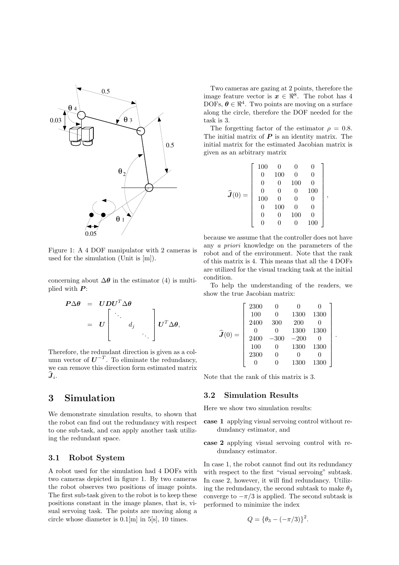

Figure 1: A 4 DOF manipulator with 2 cameras is used for the simulation (Unit is [m]).

concerning about  $\Delta\theta$  in the estimator (4) is multiplied with  $P$ :

> $P\Delta\theta = UDU^T\Delta\theta$  $=$   $U$ י<br>- $\overline{\phantom{a}}$ . . .  $d_j$ . . .  $\overline{a}$  $\Big\|\textit{\textbf{U}}^T\Delta\pmb{\theta},$

Therefore, the redundant direction is given as a column vector of  $U^{-T}$ . To eliminate the redundancy, we can remove this direction form estimated matrix  $\widehat{\bm{J}}_i.$ 

### 3 Simulation

We demonstrate simulation results, to shown that the robot can find out the redundancy with respect to one sub-task, and can apply another task utilizing the redundant space.

### 3.1 Robot System

A robot used for the simulation had 4 DOFs with two cameras depicted in figure 1. By two cameras the robot observes two positions of image points. The first sub-task given to the robot is to keep these positions constant in the image planes, that is, visual servoing task. The points are moving along a circle whose diameter is  $0.1$ [m] in  $5$ [s], 10 times.

Two cameras are gazing at 2 points, therefore the image feature vector is  $x \in \mathbb{R}^8$ . The robot has 4 DOFs,  $\boldsymbol{\theta} \in \mathbb{R}^4$ . Two points are moving on a surface along the circle, therefore the DOF needed for the task is 3.

The forgetting factor of the estimator  $\rho = 0.8$ . The initial matrix of  $P$  is an identity matrix. The initial matrix for the estimated Jacobian matrix is given as an arbitrary matrix

| $\widehat{\boldsymbol{J}}(0)=$ | 100      | 0   | 0        | 0        |  |
|--------------------------------|----------|-----|----------|----------|--|
|                                | 0        | 100 | $\Omega$ | 0        |  |
|                                | 0        | 0   | 100      | 0        |  |
|                                | $\Omega$ | 0   | 0        | 100      |  |
|                                | 100      | 0   | 0        |          |  |
|                                | 0        | 100 | $\Omega$ | 0        |  |
|                                | 0        |     | 100      | $\Omega$ |  |
|                                |          |     | U        | 100      |  |

,

.

because we assume that the controller does not have any a priori knowledge on the parameters of the robot and of the environment. Note that the rank of this matrix is 4. This means that all the 4 DOFs are utilized for the visual tracking task at the initial condition.

To help the understanding of the readers, we show the true Jacobian matrix:

| $\widehat{\boldsymbol{J}}(0)=$ | 2300 | 0      | 0      |      |  |
|--------------------------------|------|--------|--------|------|--|
|                                | 100  | 0      | 1300   | 1300 |  |
|                                | 2400 | 300    | 200    |      |  |
|                                | 0    |        | 1300   | 1300 |  |
|                                | 2400 | $-300$ | $-200$ |      |  |
|                                | 100  | 0      | 1300   | 1300 |  |
|                                | 2300 | 0      | 0      |      |  |
|                                |      |        | 1300   | 1300 |  |

Note that the rank of this matrix is 3.

#### 3.2 Simulation Results

Here we show two simulation results:

- case 1 applying visual servoing control without redundancy estimator, and
- case 2 applying visual servoing control with redundancy estimator.

In case 1, the robot cannot find out its redundancy with respect to the first "visual servoing" subtask. In case 2, however, it will find redundancy. Utilizing the redundancy, the second subtask to make  $\theta_3$ converge to  $-\pi/3$  is applied. The second subtask is performed to minimize the index

$$
Q = \{\theta_3 - (-\pi/3)\}^2.
$$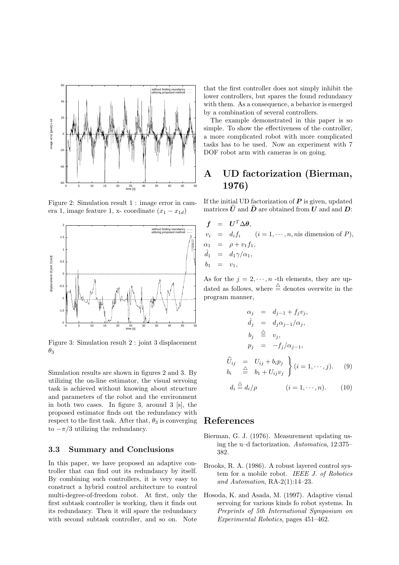

Figure 2: Simulation result 1 : image error in camera 1, image feature 1, x- coordinate  $(x_1 - x_{1d})$ 



Figure 3: Simulation result 2 : joint 3 displacement  $\theta_3$ 

Simulation results are shown in figures 2 and 3. By utilizing the on-line estimator, the visual servoing task is achieved without knowing about structure and parameters of the robot and the environment in both two cases. In figure 3, around 3 [s], the proposed estimator finds out the redundancy with respect to the first task. After that,  $\theta_3$  is converging to  $-\pi/3$  utilizing the redundancy.

### 3.3 Summary and Conclusions

In this paper, we have proposed an adaptive controller that can find out its redundancy by itself. By combining such controllers, it is very easy to construct a hybrid control architecture to control multi-degree-of-freedom robot. At first, only the first subtask controller is working, then it finds out its redundancy. Then it will spare the redundancy with second subtask controller, and so on. Note that the first controller does not simply inhibit the lower controllers, but spares the found redundancy with them. As a consequence, a behavior is emerged by a combination of several controllers.

The example demonstrated in this paper is so simple. To show the effectiveness of the controller, a more complicated robot with more complicated tasks has to be used. Now an experiment with 7 DOF robot arm with cameras is on going.

### A UD factorization (Bierman, 1976)

If the initial UD factorization of  $P$  is given, updated matrices  $\hat{U}$  and  $\hat{D}$  are obtained from U and and D:

$$
f = U^T \Delta \theta,
$$
  
\n
$$
v_i = d_i f_i \quad (i = 1, \dots, n, \text{nis dimension of } P),
$$
  
\n
$$
\alpha_1 = \rho + v_1 f_1,
$$
  
\n
$$
\hat{d}_1 = d_1 \gamma / \alpha_1,
$$
  
\n
$$
b_1 = v_1,
$$

As for the  $j = 2, \dots, n$  -th elements, they are updated as follows, where  $\stackrel{\triangle}{=}$  denotes overwite in the program manner,

$$
\alpha_j = d_{j-1} + f_j v_j,
$$
  
\n
$$
\hat{d}_j = d_j \alpha_{j-1} / \alpha_j,
$$
  
\n
$$
b_j \stackrel{\triangle}{=} v_j,
$$
  
\n
$$
p_j = -f_j / \alpha_{j-1},
$$

$$
\begin{array}{rcl}\n\widehat{U}_{ij} & = & U_{ij} + b_i p_j \\
b_i & \stackrel{\triangle}{=} & b_1 + U_{ij} v_j\n\end{array}\n\bigg\} \ (i = 1, \cdots, j). \tag{9}
$$

$$
d_i \stackrel{\triangle}{=} d_i/\rho \qquad (i = 1, \cdots, n). \qquad (10)
$$

### References

- Bierman, G. J. (1976). Measurement updating using the u–d factorization. Automatica, 12:375– 382.
- Brooks, R. A. (1986). A robust layered control system for a mobile robot. IEEE J. of Robotics and Automation, RA-2(1):14–23.
- Hosoda, K. and Asada, M. (1997). Adaptive visual servoing for various kinds fo robot systems. In Preprints of 5th International Symposium on Experimental Robotics, pages 451–462.